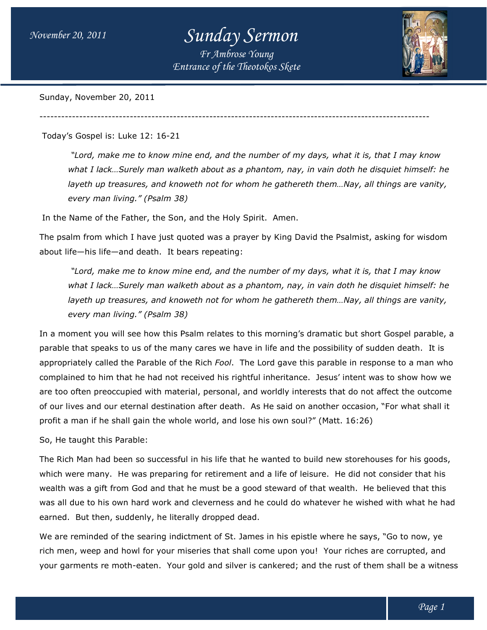## *Sunday Sermon*

*Entrance of the Theotokos Skete Fr Ambrose Young*

------------------------------------------------------------------------------------------------------------



Sunday, November 20, 2011

Today's Gospel is: Luke 12: 16-21

 *"Lord, make me to know mine end, and the number of my days, what it is, that I may know know what I lack…Surely man walketh about as a phantom, nay, in vain doth he disquiet himself: he man walketh nay, in he disquiet he layeth up treasures, and knoweth not for whom he gathereth them…Nay, all things are vanity, and knoweth not for he gathereth every man living." (Psalm 38)*

In the Name of the Father, the Son, and the Holy Spirit. Amen.

The psalm from which I have just quoted was a prayer by King David the Psalmist, asking for wisdom<br>about life—his life—and death. It bears repeating: about life—his life—and death. It bears repeating:

 *"Lord, make me to know mine end, and the number of my days, what it is, that I may know e know what I lack…Surely man walketh about as a phantom, nay, in vain doth he disquiet himself: he man walketh nay, in he disquiet he layeth up treasures, and knoweth not for whom he gathereth them…Nay, all things are v and knoweth not for he gathereth every man living." (Psalm 38)* e me to know mine end, and the number of my days, what it is, that I may know<br>..Surely man walketh about as a phantom, nay, in vain doth he disquiet himself: he<br>easures, and knoweth not for whom he gathereth them...Nay, al

In a moment you will see how this Psalm relates to this morning's dramatic but short Gospel parable, a parable that speaks to us of the many cares we have in life and the possibility of sudden death. It is In a moment you will see how this Psalm relates to this morning's dramatic but short Gospel parable, a<br>parable that speaks to us of the many cares we have in life and the possibility of sudden death. It is<br>appropriately ca complained to him that he had not received his rightful inheritance. Jesus' intent was to show how we are too often preoccupied with material, personal, and worldly interests that do not affect the outcome of our lives and our eternal destination after death. As He said on another occasion, "For what shall it profit a man if he shall gain the whole world, and lose his own soul?" (Matt. 16:26) of our lives and our eternal destination after death. As He said on another occasion, "For what shall it<br>profit a man if he shall gain the whole world, and lose his own soul?" (Matt. 16:26)<br>So, He taught this Parable:<br>The *Entrance of the Theotokos Skete*<br> **the Theotokos Skete**<br> **theory** *and the number of my dalketh about as a phantom, nay, in<br>
<i>noweth not for whom he gathereth*<br>
38)<br>
on, and the Holy Spirit. Amen.<br>
t quoted was a prayer b

#### So, He taught this Parable:

which were many. He was preparing for retirement and a life of leisure. He did not consider that his which were many. He was preparing for retirement and a life of leisure. He did not consider that his<br>wealth was a gift from God and that he must be a good steward of that wealth. He believed that this was all due to his own hard work and cleverness and he could do whatever he wished with what he had earned. But then, suddenly, he literally dropped dead. was all due to his own hard work and cleverness and he could do whatever he wished with what he h<br>earned. But then, suddenly, he literally dropped dead.<br>We are reminded of the searing indictment of St. James in his epistl rial, personal, and worldly interests that do not affect the outcome<br>ion after death. As He said on another occasion, "For what shall it<br>le world, and lose his own soul?" (Matt. 16:26)<br>al in his life that he wanted to buil

rich men, weep and howl for your miseries that shall come upon you! Your riches are corrupted, and rich men, weep and howl for your miseries that shall come upon you! Your riches are corru<sub>l</sub><br>your garments re moth-eaten. Your gold and silver is cankered; and the rust of them shall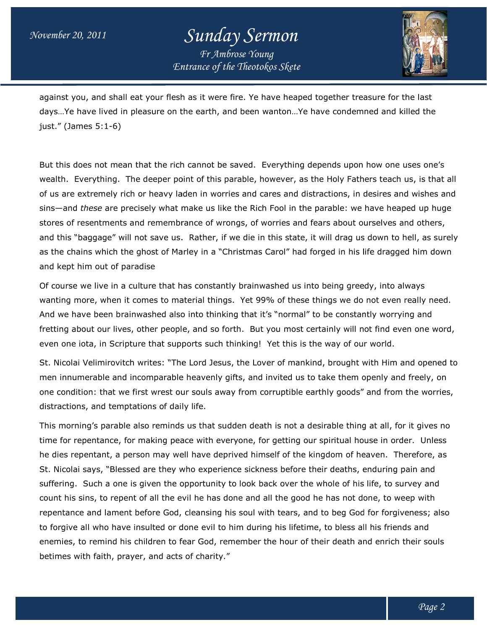# *Sunday Sermon*

*Entrance of the Theotokos Skete Fr Ambrose Young*



against you, and shall eat your flesh as it were fire. Ye have heaped together treasure for the last against you, and shall eat your flesh as it were fire. Ye have heaped together treasure for the last<br>days…Ye have lived in pleasure on the earth, and been wanton…Ye have condemned and killed the just." (James 5:1-6)

But this does not mean that the rich cannot be saved. Everything depends upon how one uses one's wealth. Everything. The deeper point of this parable, however, as the Holy Fathers teach us, is that all of us are extremely rich or heavy laden in worries and cares and distractions, in desires and wishes and sins—and *these* are precisely what make us like the Rich Fool in the parable: we have heaped up huge stores of resentments and remembrance of wrongs, of worries and fears about ourselves and others, and this "baggage" will not save us. Rather, if we die in this state, it will drag us down to hell, as surely as the chains which the ghost of Marley in a "Christmas Carol" had forged in his life dragged him down and kept him out of paradise res of resentments and remembrance of wrongs, of worries and fears about ourselves and oth<br>d this "baggage" will not save us. Rather, if we die in this state, it will drag us down to hell, a<br>the chains which the ghost of M d cares and distractions, in desires and w<br>
Rich Fool in the parable: we have heaped<br>
of worries and fears about ourselves and<br>
e in this state, it will drag us down to hell,<br>
as Carol" had forged in his life dragged h<br>
in

Of course we live in a culture that has constantly brainwashed us into being greedy, into always wanting more, when it comes to material things. Yet 99% of these things we do not even really need. And we have been brainwashed also into thinking that it's "normal" to be constantly worrying and fretting about our lives, other people, and so forth. But you most certainly will not find even one word, even one iota, in Scripture that supports such thinking! Yet this is the way of our world. ing more, when it comes to material things. Yet 99% of these things we do not even really r<br>we have been brainwashed also into thinking that it's "normal" to be constantly worrying and<br>ing about our lives, other people, an

St. Nicolai Velimirovitch writes: "The Lord Jesus, the Lover of mankind, brought with Him and opened to men innumerable and incomparable heavenly gifts, and invited us to take them openly and freely, on one condition: that we first wrest our souls away from corruptible earthly goods" and from the worries, distractions, and temptations of daily life.

This morning's parable also reminds us that sudden death is not a desirable thing at all, for it gives no time for repentance, for making peace with everyone, for getting our spiritual house in order. Unless men innumerable and incomparable heavenly gifts, and invited us to take them openly and freely, on<br>one condition: that we first wrest our souls away from corruptible earthly goods" and from the worries<br>distractions, and te St. Nicolai says, "Blessed are they who experience sickness before their deaths, enduring pain and St. Nicolai says, "Blessed are they who experience sickness before their deaths, enduring pain and<br>suffering. Such a one is given the opportunity to look back over the whole of his life, to survey and count his sins, to repent of all the evil he has done and all the good he has not done, to weep with repentance and lament before God, cleansing his soul with tears, and to beg God for forgiveness; also to forgive all who have insulted or done evil to him during his lifetime, to bless all his friends and enemies, to remind his children to fear God, remember the hour of their death and enrich their souls betimes with faith, prayer, and acts of charity." *Entrance of the Theotokos Skete*<br> **Example 11**<br> **the Theotokos Skete**<br> **the Example In the earth, and been wanton...Ye have heaped**<br> **ion to follow and the saved.** Everything de<br>
point of this parable, however, as t<br>
lade s sins, to repent of all the evil he has done and all the good he has not done,<br>nce and lament before God, cleansing his soul with tears, and to beg God for f<br>e all who have insulted or done evil to him during his lifetime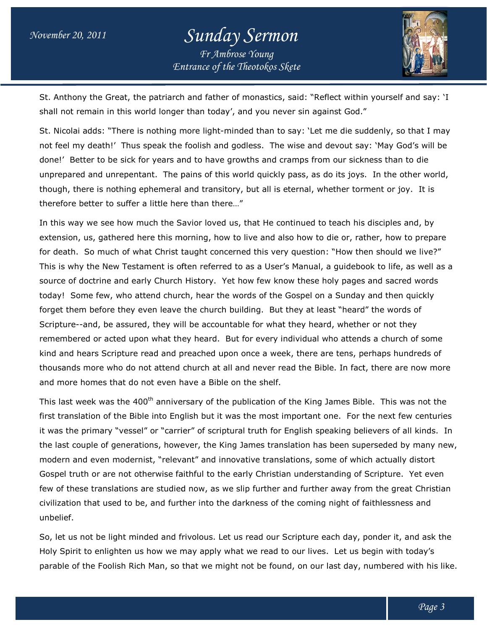### *Entrance of the Theotokos Skete Sunday Sermon Fr Ambrose Young*



St. Anthony the Great, the patriarch and father of monastics, said: "Reflect within yourself and say: 'I shall not remain in this world longer than today', and you never sin against God." St. Anthony the Great, the patriarch and father of monastics, said: "Reflect within yourself and say: 'I<br>shall not remain in this world longer than today', and you never sin against God."<br>St. Nicolai adds: "There is nothin

not feel my death!' Thus speak the foolish and godless. The wise and devout say: 'May God's will be done!' Better to be sick for years and to have growths and cramps from our sickness than to die not feel my death!' Thus speak the foolish and godless. The wise and devout say: `May God's will be<br>done!' Better to be sick for years and to have growths and cramps from our sickness than to die<br>unprepared and unrepentant though, there is nothing ephemeral and transitory, but all is eternal, whether torment or joy. It is<br>therefore better to suffer a little here than there..." therefore better to suffer a little here than there…"

In this way we see how much the Savior loved us, that He continued to teach his disciples and, by extension, us, gathered here this morning, how to live and also how to die or, rather, how to prepare extension, us, gathered here this morning, how to live and also how to die or, rather, how to prepare<br>for death. So much of what Christ taught concerned this very question: "How then should we live?" This is why the New Testament is often referred to as a User's Manual, a guidebook to life, as well as a source of doctrine and early Church History. Yet how few know these holy pages and sacred words today! Some few, who attend church, hear the words of the Gospel on a Sunday and then quickly forget them before they even leave the church building. But they at least "heard" the words of Scripture--and, be assured, they will be accountable for what they heard, whether or not they remembered or acted upon what they heard. But for every individual who attends a church of some kind and hears Scripture read and preached upon once a week, there are tens, perhaps hundreds of thousands more who do not attend church at all and never read the Bible. In fact, there are now more and more homes that do not even have a Bible on the shelf. *Entrance of the Theotokos Skete*<br> **rch** and father of monastics, said: "<br>
ger than today', and you never sin a<br>
g more light-minded than to say: 'L<br>
he foolish and godless. The wise ar<br>
and to have growths and cramps f<br>
e This is why the New Testament is often referred to as a User's Manual, a guidebook to life, as well as<br>source of doctrine and early Church History. Yet how few know these holy pages and sacred words<br>today! Some few, who at adds: "There is nothing more light-minded than to say: "Let me die suddenly, so that I may<br>
death!" Thus speak the foolish and godlss. The wise and devout say: "May God's will be<br>
ter to be sick for years and to have growt

This last week was the 400<sup>th</sup> anniversary of the publication of the King James Bible. This was not the This last week was the 400<sup>tn</sup> anniversary of the publication of the King James Bible. This was not the<br>first translation of the Bible into English but it was the most important one. For the next few centuries it was the primary "vessel" or "carrier" of scriptural truth for English speaking believers of all kinds. In the last couple of generations, however, the King James translation has been superseded by modern and even modernist, "relevant" and innovative translations, some of which actually distort Gospel truth or are not otherwise faithful to the early Christian understanding of Scripture. Yet even few of these translations are studied now, as we slip further and further away from the great Christian civilization that used to be, and further into the darkness of the coming night of faithlessness and unbelief. the primary "vessel" or "carrier" of scriptural truth for English speaking believers of all kinds. In<br>it couple of generations, however, the King James translation has been superseded by many new<br>in and even modernist, "re s we slip further and further away from the great Christian<br>the darkness of the coming night of faithlessness and<br>Let us read our Scripture each day, ponder it, and ask the

So, let us not be light minded and frivolous. Let us read our Scripture each day, ponder it, and ask the Holy Spirit to enlighten us how we may apply what we read to our lives. Let us begin with today's parable of the Foolish Rich Man, so that we might not be found, on our last day, numbered with his like. let us not be light minded and frivolous. Let us read our Scripture each day, ponder it, and ask t<br>, Spirit to enlighten us how we may apply what we read to our lives. Let us begin with today's<br>1ble of the Foolish Rich Ma